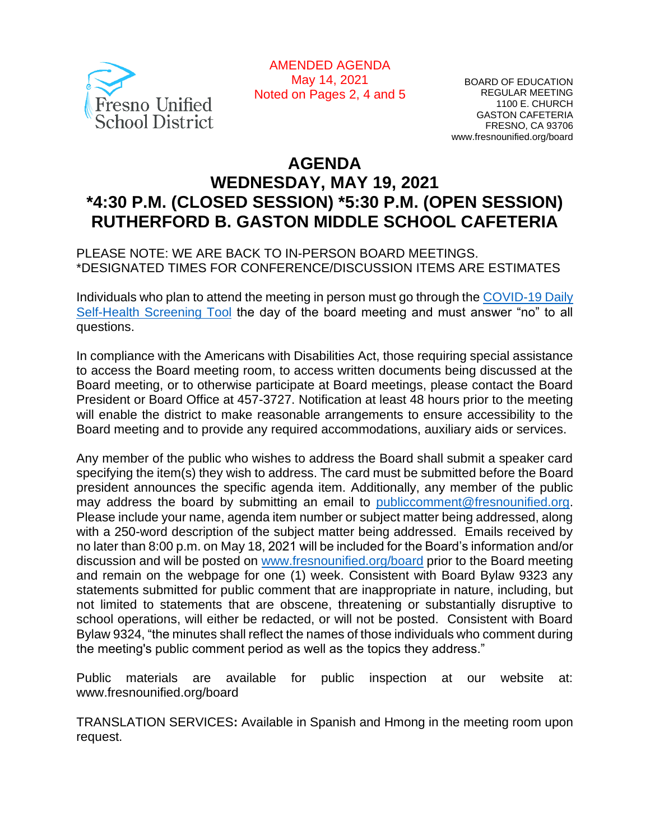

AMENDED AGENDA May 14, 2021 Noted on Pages 2, 4 and 5

BOARD OF EDUCATION REGULAR MEETING 1100 E. CHURCH GASTON CAFETERIA FRESNO, CA 93706 www.fresnounified.org/board

# **AGENDA WEDNESDAY, MAY 19, 2021 \*4:30 P.M. (CLOSED SESSION) \*5:30 P.M. (OPEN SESSION) RUTHERFORD B. GASTON MIDDLE SCHOOL CAFETERIA**

PLEASE NOTE: WE ARE BACK TO IN-PERSON BOARD MEETINGS. \*DESIGNATED TIMES FOR CONFERENCE/DISCUSSION ITEMS ARE ESTIMATES

Individuals who plan to attend the meeting in person must go through the *COVID-19 Daily* [Self-Health Screening Tool](https://health.fresnounified.org/wp-content/uploads/FUSD-Self-Health-Screening-Tool.pdf) the day of the board meeting and must answer "no" to all questions.

In compliance with the Americans with Disabilities Act, those requiring special assistance to access the Board meeting room, to access written documents being discussed at the Board meeting, or to otherwise participate at Board meetings, please contact the Board President or Board Office at 457-3727. Notification at least 48 hours prior to the meeting will enable the district to make reasonable arrangements to ensure accessibility to the Board meeting and to provide any required accommodations, auxiliary aids or services.

Any member of the public who wishes to address the Board shall submit a speaker card specifying the item(s) they wish to address. The card must be submitted before the Board president announces the specific agenda item. Additionally, any member of the public may address the board by submitting an email to *[publiccomment@fresnounified.org.](mailto:publiccomment@fresnounified.org)* Please include your name, agenda item number or subject matter being addressed, along with a 250-word description of the subject matter being addressed. Emails received by no later than 8:00 p.m. on May 18, 2021 will be included for the Board's information and/or discussion and will be posted on [www.fresnounified.org/board](http://www.fresnounified.org/board) prior to the Board meeting and remain on the webpage for one (1) week. Consistent with Board Bylaw 9323 any statements submitted for public comment that are inappropriate in nature, including, but not limited to statements that are obscene, threatening or substantially disruptive to school operations, will either be redacted, or will not be posted. Consistent with Board Bylaw 9324, "the minutes shall reflect the names of those individuals who comment during the meeting's public comment period as well as the topics they address."

Public materials are available for public inspection at our website at: www.fresnounified.org/board

TRANSLATION SERVICES**:** Available in Spanish and Hmong in the meeting room upon request.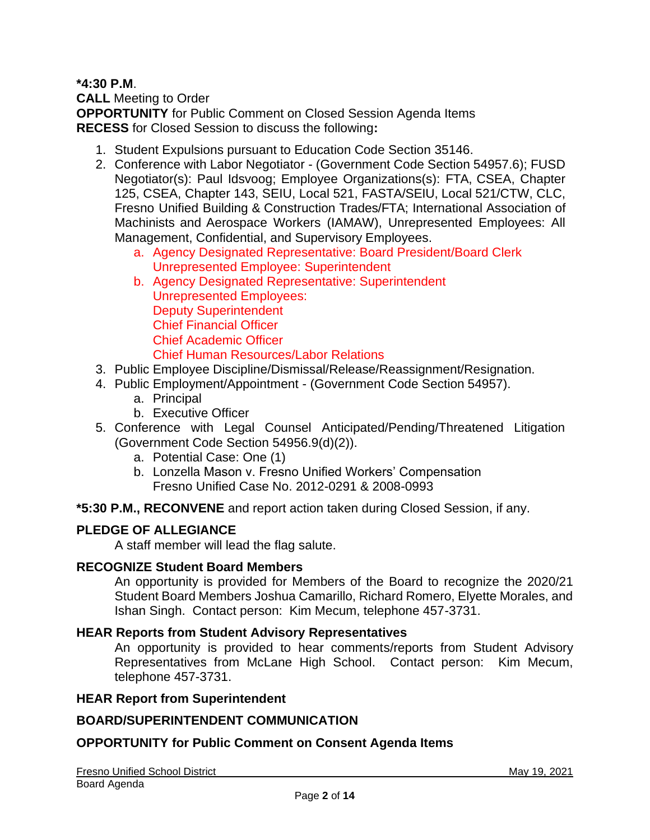## **\*4:30 P.M**.

**CALL** Meeting to Order **OPPORTUNITY** for Public Comment on Closed Session Agenda Items **RECESS** for Closed Session to discuss the following**:**

- 1. Student Expulsions pursuant to Education Code Section 35146.
- 2. Conference with Labor Negotiator (Government Code Section 54957.6); FUSD Negotiator(s): Paul Idsvoog; Employee Organizations(s): FTA, CSEA, Chapter 125, CSEA, Chapter 143, SEIU, Local 521, FASTA/SEIU, Local 521/CTW, CLC, Fresno Unified Building & Construction Trades/FTA; International Association of Machinists and Aerospace Workers (IAMAW), Unrepresented Employees: All Management, Confidential, and Supervisory Employees.
	- a. Agency Designated Representative: Board President/Board Clerk Unrepresented Employee: Superintendent
	- b. Agency Designated Representative: Superintendent Unrepresented Employees: Deputy Superintendent Chief Financial Officer Chief Academic Officer Chief Human Resources/Labor Relations
- 3. Public Employee Discipline/Dismissal/Release/Reassignment/Resignation.
- 4. Public Employment/Appointment (Government Code Section 54957).
	- a. Principal
	- b. Executive Officer
- 5. Conference with Legal Counsel Anticipated/Pending/Threatened Litigation (Government Code Section 54956.9(d)(2)).
	- a. Potential Case: One (1)
	- b. Lonzella Mason v. Fresno Unified Workers' Compensation Fresno Unified Case No. 2012-0291 & 2008-0993
- **\*5:30 P.M., RECONVENE** and report action taken during Closed Session, if any.

## **PLEDGE OF ALLEGIANCE**

A staff member will lead the flag salute.

#### **RECOGNIZE Student Board Members**

An opportunity is provided for Members of the Board to recognize the 2020/21 Student Board Members Joshua Camarillo, Richard Romero, Elyette Morales, and Ishan Singh. Contact person: Kim Mecum, telephone 457-3731.

#### **HEAR Reports from Student Advisory Representatives**

An opportunity is provided to hear comments/reports from Student Advisory Representatives from McLane High School. Contact person: Kim Mecum, telephone 457-3731.

#### **HEAR Report from Superintendent**

#### **BOARD/SUPERINTENDENT COMMUNICATION**

#### **OPPORTUNITY for Public Comment on Consent Agenda Items**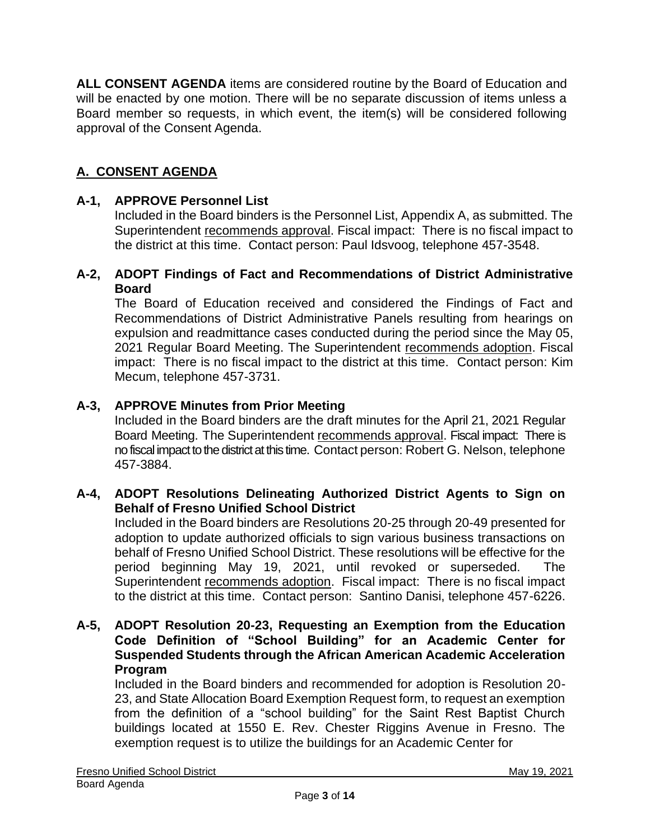**ALL CONSENT AGENDA** items are considered routine by the Board of Education and will be enacted by one motion. There will be no separate discussion of items unless a Board member so requests, in which event, the item(s) will be considered following approval of the Consent Agenda.

## **A. CONSENT AGENDA**

### **A-1, APPROVE Personnel List**

Included in the Board binders is the Personnel List, Appendix A, as submitted. The Superintendent recommends approval. Fiscal impact: There is no fiscal impact to the district at this time. Contact person: Paul Idsvoog, telephone 457-3548.

#### **A-2, ADOPT Findings of Fact and Recommendations of District Administrative Board**

The Board of Education received and considered the Findings of Fact and Recommendations of District Administrative Panels resulting from hearings on expulsion and readmittance cases conducted during the period since the May 05, 2021 Regular Board Meeting. The Superintendent recommends adoption. Fiscal impact: There is no fiscal impact to the district at this time. Contact person: Kim Mecum, telephone 457-3731.

## **A-3, APPROVE Minutes from Prior Meeting**

Included in the Board binders are the draft minutes for the April 21, 2021 Regular Board Meeting. The Superintendent recommends approval. Fiscal impact: There is no fiscal impact to the district at this time. Contact person: Robert G. Nelson, telephone 457-3884.

## **A-4, ADOPT Resolutions Delineating Authorized District Agents to Sign on Behalf of Fresno Unified School District**

Included in the Board binders are Resolutions 20-25 through 20-49 presented for adoption to update authorized officials to sign various business transactions on behalf of Fresno Unified School District. These resolutions will be effective for the period beginning May 19, 2021, until revoked or superseded. The Superintendent recommends adoption. Fiscal impact: There is no fiscal impact to the district at this time. Contact person: Santino Danisi, telephone 457-6226.

### **A-5, ADOPT Resolution 20-23, Requesting an Exemption from the Education Code Definition of "School Building" for an Academic Center for Suspended Students through the African American Academic Acceleration Program**

Included in the Board binders and recommended for adoption is Resolution 20- 23, and State Allocation Board Exemption Request form, to request an exemption from the definition of a "school building" for the Saint Rest Baptist Church buildings located at 1550 E. Rev. Chester Riggins Avenue in Fresno. The exemption request is to utilize the buildings for an Academic Center for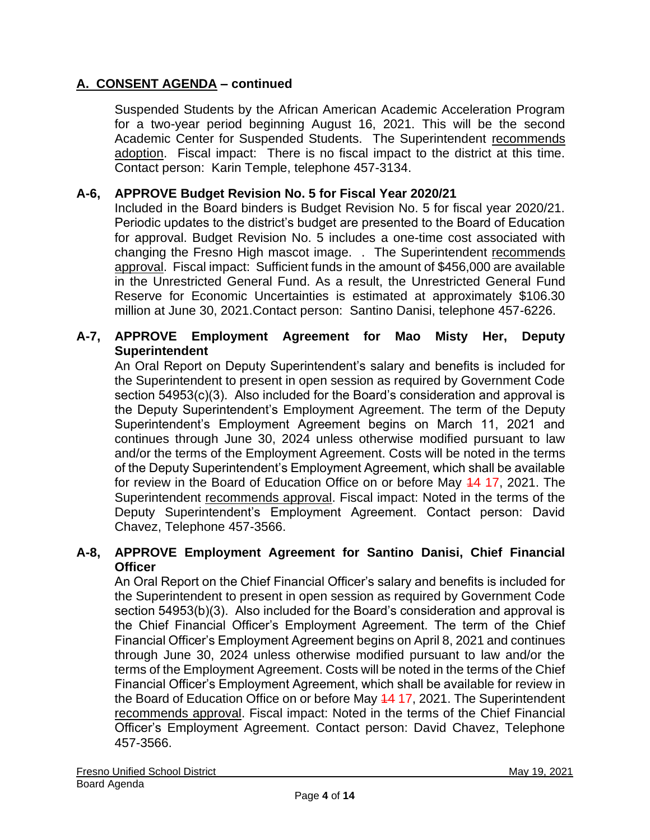Suspended Students by the African American Academic Acceleration Program for a two-year period beginning August 16, 2021. This will be the second Academic Center for Suspended Students. The Superintendent recommends adoption. Fiscal impact: There is no fiscal impact to the district at this time. Contact person: Karin Temple, telephone 457-3134.

## **A-6, APPROVE Budget Revision No. 5 for Fiscal Year 2020/21**

Included in the Board binders is Budget Revision No. 5 for fiscal year 2020/21. Periodic updates to the district's budget are presented to the Board of Education for approval. Budget Revision No. 5 includes a one-time cost associated with changing the Fresno High mascot image. . The Superintendent recommends approval. Fiscal impact: Sufficient funds in the amount of \$456,000 are available in the Unrestricted General Fund. As a result, the Unrestricted General Fund Reserve for Economic Uncertainties is estimated at approximately \$106.30 million at June 30, 2021.Contact person: Santino Danisi, telephone 457-6226.

## **A-7, APPROVE Employment Agreement for Mao Misty Her, Deputy Superintendent**

An Oral Report on Deputy Superintendent's salary and benefits is included for the Superintendent to present in open session as required by Government Code section 54953(c)(3). Also included for the Board's consideration and approval is the Deputy Superintendent's Employment Agreement. The term of the Deputy Superintendent's Employment Agreement begins on March 11, 2021 and continues through June 30, 2024 unless otherwise modified pursuant to law and/or the terms of the Employment Agreement. Costs will be noted in the terms of the Deputy Superintendent's Employment Agreement, which shall be available for review in the Board of Education Office on or before May 44 17, 2021. The Superintendent recommends approval. Fiscal impact: Noted in the terms of the Deputy Superintendent's Employment Agreement. Contact person: David Chavez, Telephone 457-3566.

#### **A-8, APPROVE Employment Agreement for Santino Danisi, Chief Financial Officer**

An Oral Report on the Chief Financial Officer's salary and benefits is included for the Superintendent to present in open session as required by Government Code section 54953(b)(3). Also included for the Board's consideration and approval is the Chief Financial Officer's Employment Agreement. The term of the Chief Financial Officer's Employment Agreement begins on April 8, 2021 and continues through June 30, 2024 unless otherwise modified pursuant to law and/or the terms of the Employment Agreement. Costs will be noted in the terms of the Chief Financial Officer's Employment Agreement, which shall be available for review in the Board of Education Office on or before May 44 17, 2021. The Superintendent recommends approval. Fiscal impact: Noted in the terms of the Chief Financial Officer's Employment Agreement. Contact person: David Chavez, Telephone 457-3566.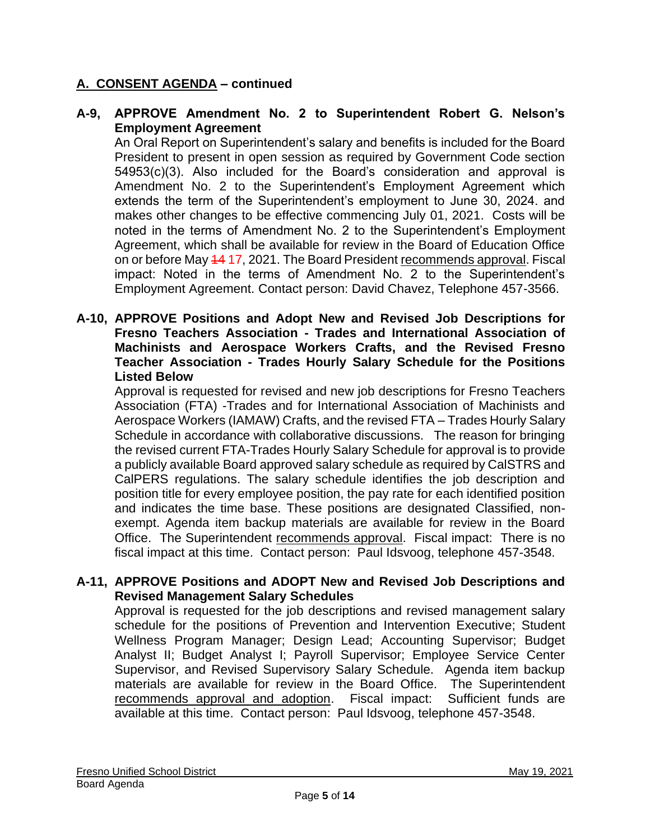## **A-9, APPROVE Amendment No. 2 to Superintendent Robert G. Nelson's Employment Agreement**

An Oral Report on Superintendent's salary and benefits is included for the Board President to present in open session as required by Government Code section 54953(c)(3). Also included for the Board's consideration and approval is Amendment No. 2 to the Superintendent's Employment Agreement which extends the term of the Superintendent's employment to June 30, 2024. and makes other changes to be effective commencing July 01, 2021. Costs will be noted in the terms of Amendment No. 2 to the Superintendent's Employment Agreement, which shall be available for review in the Board of Education Office on or before May 44 17, 2021. The Board President recommends approval. Fiscal impact: Noted in the terms of Amendment No. 2 to the Superintendent's Employment Agreement. Contact person: David Chavez, Telephone 457-3566.

#### **A-10, APPROVE Positions and Adopt New and Revised Job Descriptions for Fresno Teachers Association - Trades and International Association of Machinists and Aerospace Workers Crafts, and the Revised Fresno Teacher Association - Trades Hourly Salary Schedule for the Positions Listed Below**

Approval is requested for revised and new job descriptions for Fresno Teachers Association (FTA) -Trades and for International Association of Machinists and Aerospace Workers (IAMAW) Crafts, and the revised FTA – Trades Hourly Salary Schedule in accordance with collaborative discussions. The reason for bringing the revised current FTA-Trades Hourly Salary Schedule for approval is to provide a publicly available Board approved salary schedule as required by CalSTRS and CalPERS regulations. The salary schedule identifies the job description and position title for every employee position, the pay rate for each identified position and indicates the time base. These positions are designated Classified, nonexempt. Agenda item backup materials are available for review in the Board Office. The Superintendent recommends approval. Fiscal impact: There is no fiscal impact at this time. Contact person: Paul Idsvoog, telephone 457-3548.

## **A-11, APPROVE Positions and ADOPT New and Revised Job Descriptions and Revised Management Salary Schedules**

Approval is requested for the job descriptions and revised management salary schedule for the positions of Prevention and Intervention Executive; Student Wellness Program Manager; Design Lead; Accounting Supervisor; Budget Analyst II; Budget Analyst I; Payroll Supervisor; Employee Service Center Supervisor, and Revised Supervisory Salary Schedule. Agenda item backup materials are available for review in the Board Office. The Superintendent recommends approval and adoption. Fiscal impact: Sufficient funds are available at this time. Contact person: Paul Idsvoog, telephone 457-3548.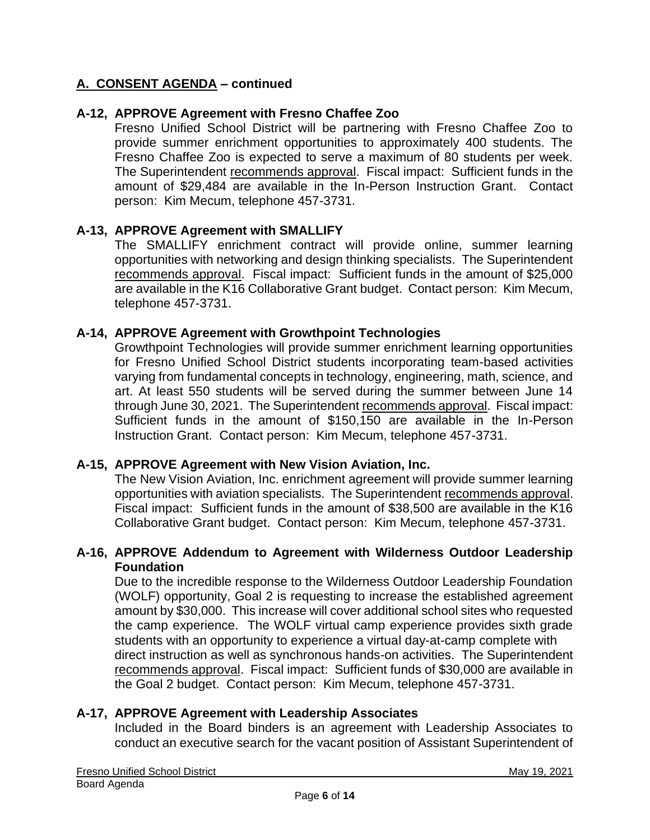## **A-12, APPROVE Agreement with Fresno Chaffee Zoo**

Fresno Unified School District will be partnering with Fresno Chaffee Zoo to provide summer enrichment opportunities to approximately 400 students. The Fresno Chaffee Zoo is expected to serve a maximum of 80 students per week. The Superintendent recommends approval. Fiscal impact: Sufficient funds in the amount of \$29,484 are available in the In-Person Instruction Grant. Contact person: Kim Mecum, telephone 457-3731.

#### **A-13, APPROVE Agreement with SMALLIFY**

The SMALLIFY enrichment contract will provide online, summer learning opportunities with networking and design thinking specialists. The Superintendent recommends approval. Fiscal impact: Sufficient funds in the amount of \$25,000 are available in the K16 Collaborative Grant budget. Contact person: Kim Mecum, telephone 457-3731.

#### **A-14, APPROVE Agreement with Growthpoint Technologies**

Growthpoint Technologies will provide summer enrichment learning opportunities for Fresno Unified School District students incorporating team-based activities varying from fundamental concepts in technology, engineering, math, science, and art. At least 550 students will be served during the summer between June 14 through June 30, 2021. The Superintendent recommends approval. Fiscal impact: Sufficient funds in the amount of \$150,150 are available in the In-Person Instruction Grant. Contact person: Kim Mecum, telephone 457-3731.

#### **A-15, APPROVE Agreement with New Vision Aviation, Inc.**

The New Vision Aviation, Inc. enrichment agreement will provide summer learning opportunities with aviation specialists. The Superintendent recommends approval. Fiscal impact: Sufficient funds in the amount of \$38,500 are available in the K16 Collaborative Grant budget. Contact person: Kim Mecum, telephone 457-3731.

#### **A-16, APPROVE Addendum to Agreement with Wilderness Outdoor Leadership Foundation**

Due to the incredible response to the Wilderness Outdoor Leadership Foundation (WOLF) opportunity, Goal 2 is requesting to increase the established agreement amount by \$30,000. This increase will cover additional school sites who requested the camp experience. The WOLF virtual camp experience provides sixth grade students with an opportunity to experience a virtual day-at-camp complete with direct instruction as well as synchronous hands-on activities. The Superintendent recommends approval. Fiscal impact: Sufficient funds of \$30,000 are available in the Goal 2 budget. Contact person: Kim Mecum, telephone 457-3731.

#### **A-17, APPROVE Agreement with Leadership Associates**

Included in the Board binders is an agreement with Leadership Associates to conduct an executive search for the vacant position of Assistant Superintendent of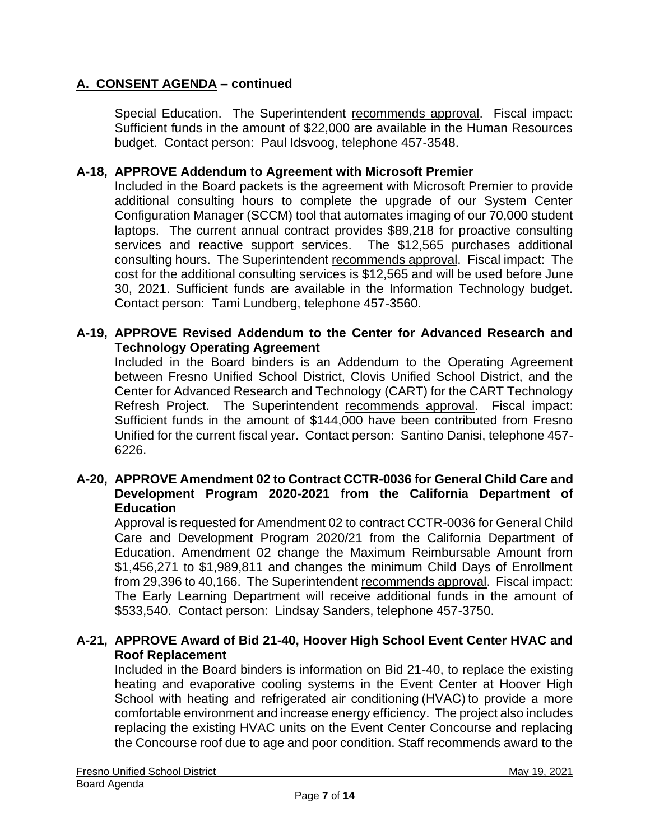Special Education. The Superintendent recommends approval. Fiscal impact: Sufficient funds in the amount of \$22,000 are available in the Human Resources budget. Contact person: Paul Idsvoog, telephone 457-3548.

## **A-18, APPROVE Addendum to Agreement with Microsoft Premier**

Included in the Board packets is the agreement with Microsoft Premier to provide additional consulting hours to complete the upgrade of our System Center Configuration Manager (SCCM) tool that automates imaging of our 70,000 student laptops. The current annual contract provides \$89,218 for proactive consulting services and reactive support services. The \$12,565 purchases additional consulting hours. The Superintendent recommends approval. Fiscal impact: The cost for the additional consulting services is \$12,565 and will be used before June 30, 2021. Sufficient funds are available in the Information Technology budget. Contact person: Tami Lundberg, telephone 457-3560.

## **A-19, APPROVE Revised Addendum to the Center for Advanced Research and Technology Operating Agreement**

Included in the Board binders is an Addendum to the Operating Agreement between Fresno Unified School District, Clovis Unified School District, and the Center for Advanced Research and Technology (CART) for the CART Technology Refresh Project. The Superintendent recommends approval. Fiscal impact: Sufficient funds in the amount of \$144,000 have been contributed from Fresno Unified for the current fiscal year. Contact person: Santino Danisi, telephone 457- 6226.

## **A-20, APPROVE Amendment 02 to Contract CCTR-0036 for General Child Care and Development Program 2020-2021 from the California Department of Education**

Approval is requested for Amendment 02 to contract CCTR-0036 for General Child Care and Development Program 2020/21 from the California Department of Education. Amendment 02 change the Maximum Reimbursable Amount from \$1,456,271 to \$1,989,811 and changes the minimum Child Days of Enrollment from 29,396 to 40,166. The Superintendent recommends approval. Fiscal impact: The Early Learning Department will receive additional funds in the amount of \$533,540. Contact person: Lindsay Sanders, telephone 457-3750.

## **A-21, APPROVE Award of Bid 21-40, Hoover High School Event Center HVAC and Roof Replacement**

Included in the Board binders is information on Bid 21-40, to replace the existing heating and evaporative cooling systems in the Event Center at Hoover High School with heating and refrigerated air conditioning (HVAC) to provide a more comfortable environment and increase energy efficiency. The project also includes replacing the existing HVAC units on the Event Center Concourse and replacing the Concourse roof due to age and poor condition. Staff recommends award to the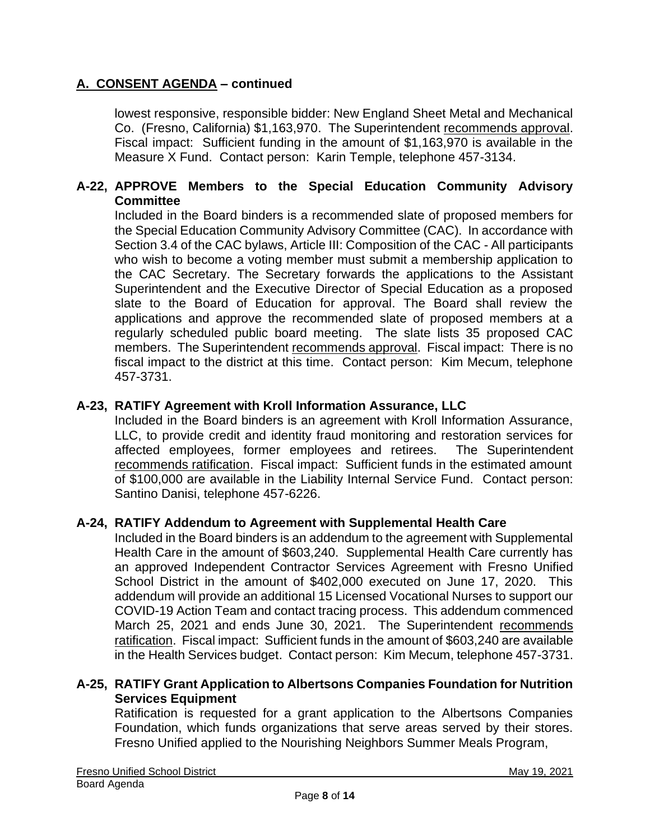lowest responsive, responsible bidder: New England Sheet Metal and Mechanical Co. (Fresno, California) \$1,163,970. The Superintendent recommends approval. Fiscal impact: Sufficient funding in the amount of \$1,163,970 is available in the Measure X Fund. Contact person: Karin Temple, telephone 457-3134.

## **A-22, APPROVE Members to the Special Education Community Advisory Committee**

Included in the Board binders is a recommended slate of proposed members for the Special Education Community Advisory Committee (CAC). In accordance with Section 3.4 of the CAC bylaws, Article III: Composition of the CAC - All participants who wish to become a voting member must submit a membership application to the CAC Secretary. The Secretary forwards the applications to the Assistant Superintendent and the Executive Director of Special Education as a proposed slate to the Board of Education for approval. The Board shall review the applications and approve the recommended slate of proposed members at a regularly scheduled public board meeting. The slate lists 35 proposed CAC members. The Superintendent recommends approval. Fiscal impact: There is no fiscal impact to the district at this time. Contact person: Kim Mecum, telephone 457-3731.

## **A-23, RATIFY Agreement with Kroll Information Assurance, LLC**

Included in the Board binders is an agreement with Kroll Information Assurance, LLC, to provide credit and identity fraud monitoring and restoration services for affected employees, former employees and retirees. The Superintendent recommends ratification. Fiscal impact: Sufficient funds in the estimated amount of \$100,000 are available in the Liability Internal Service Fund. Contact person: Santino Danisi, telephone 457-6226.

#### **A-24, RATIFY Addendum to Agreement with Supplemental Health Care**

Included in the Board binders is an addendum to the agreement with Supplemental Health Care in the amount of \$603,240. Supplemental Health Care currently has an approved Independent Contractor Services Agreement with Fresno Unified School District in the amount of \$402,000 executed on June 17, 2020. This addendum will provide an additional 15 Licensed Vocational Nurses to support our COVID-19 Action Team and contact tracing process. This addendum commenced March 25, 2021 and ends June 30, 2021. The Superintendent recommends ratification. Fiscal impact: Sufficient funds in the amount of \$603,240 are available in the Health Services budget. Contact person: Kim Mecum, telephone 457-3731.

#### **A-25, RATIFY Grant Application to Albertsons Companies Foundation for Nutrition Services Equipment**

Ratification is requested for a grant application to the Albertsons Companies Foundation, which funds organizations that serve areas served by their stores. Fresno Unified applied to the Nourishing Neighbors Summer Meals Program,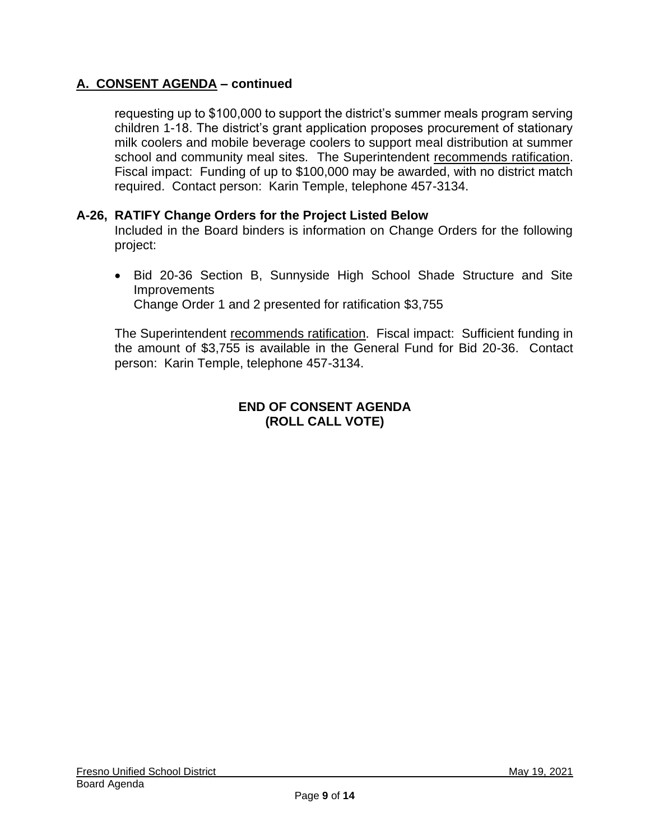requesting up to \$100,000 to support the district's summer meals program serving children 1-18. The district's grant application proposes procurement of stationary milk coolers and mobile beverage coolers to support meal distribution at summer school and community meal sites. The Superintendent recommends ratification. Fiscal impact: Funding of up to \$100,000 may be awarded, with no district match required. Contact person: Karin Temple, telephone 457-3134.

## **A-26, RATIFY Change Orders for the Project Listed Below**

Included in the Board binders is information on Change Orders for the following project:

• Bid 20-36 Section B, Sunnyside High School Shade Structure and Site **Improvements** Change Order 1 and 2 presented for ratification \$3,755

The Superintendent recommends ratification. Fiscal impact: Sufficient funding in the amount of \$3,755 is available in the General Fund for Bid 20-36. Contact person: Karin Temple, telephone 457-3134.

## **END OF CONSENT AGENDA (ROLL CALL VOTE)**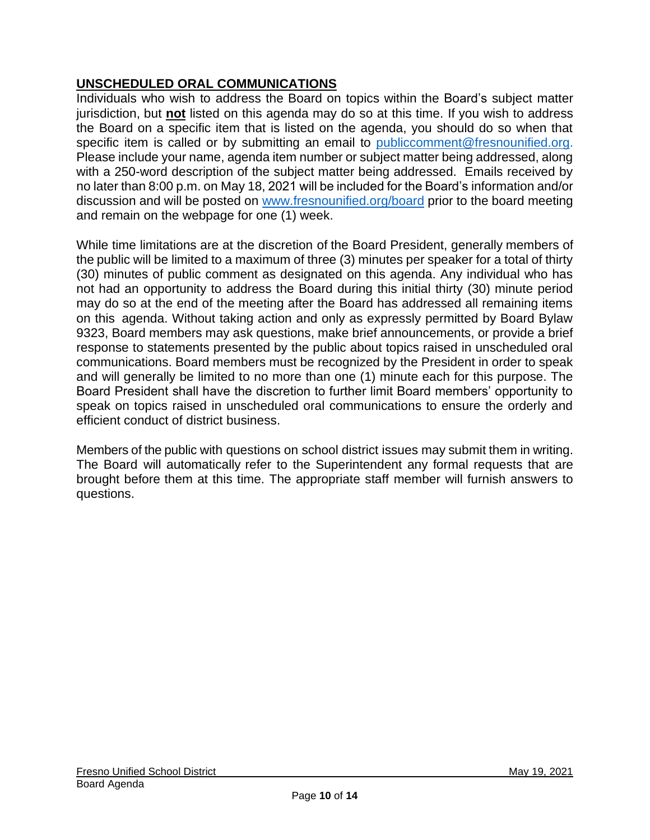## **UNSCHEDULED ORAL COMMUNICATIONS**

Individuals who wish to address the Board on topics within the Board's subject matter jurisdiction, but **not** listed on this agenda may do so at this time. If you wish to address the Board on a specific item that is listed on the agenda, you should do so when that specific item is called or by submitting an email to *[publiccomment@fresnounified.org.](mailto:publiccomment@fresnounified.org)* Please include your name, agenda item number or subject matter being addressed, along with a 250-word description of the subject matter being addressed. Emails received by no later than 8:00 p.m. on May 18, 2021 will be included for the Board's information and/or discussion and will be posted on [www.fresnounified.org/board](http://www.fresnounified.org/board) prior to the board meeting and remain on the webpage for one (1) week.

While time limitations are at the discretion of the Board President, generally members of the public will be limited to a maximum of three (3) minutes per speaker for a total of thirty (30) minutes of public comment as designated on this agenda. Any individual who has not had an opportunity to address the Board during this initial thirty (30) minute period may do so at the end of the meeting after the Board has addressed all remaining items on this agenda. Without taking action and only as expressly permitted by Board Bylaw 9323, Board members may ask questions, make brief announcements, or provide a brief response to statements presented by the public about topics raised in unscheduled oral communications. Board members must be recognized by the President in order to speak and will generally be limited to no more than one (1) minute each for this purpose. The Board President shall have the discretion to further limit Board members' opportunity to speak on topics raised in unscheduled oral communications to ensure the orderly and efficient conduct of district business.

Members of the public with questions on school district issues may submit them in writing. The Board will automatically refer to the Superintendent any formal requests that are brought before them at this time. The appropriate staff member will furnish answers to questions.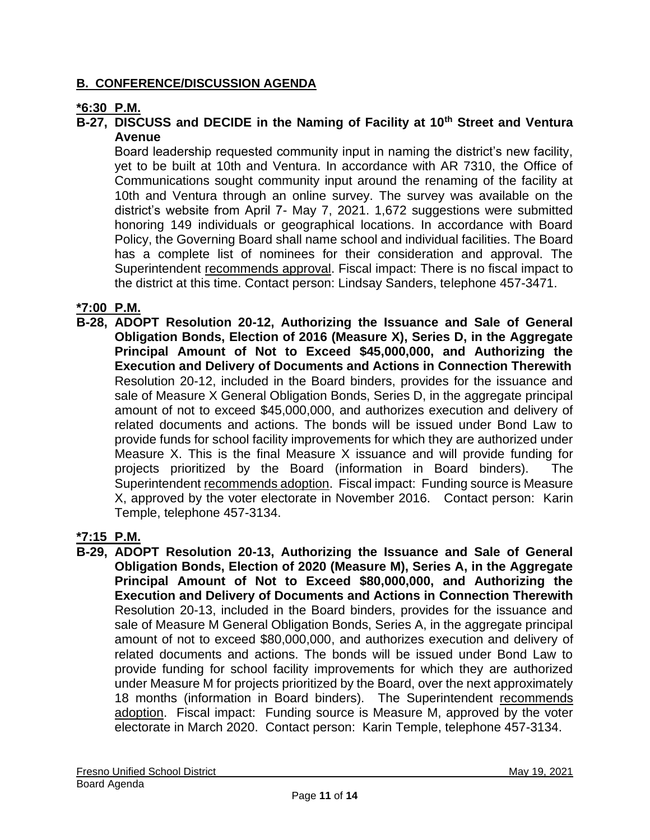## **B. CONFERENCE/DISCUSSION AGENDA**

## **\*6:30 P.M.**

## **B-27, DISCUSS and DECIDE in the Naming of Facility at 10th Street and Ventura Avenue**

Board leadership requested community input in naming the district's new facility, yet to be built at 10th and Ventura. In accordance with AR 7310, the Office of Communications sought community input around the renaming of the facility at 10th and Ventura through an online survey. The survey was available on the district's website from April 7- May 7, 2021. 1,672 suggestions were submitted honoring 149 individuals or geographical locations. In accordance with Board Policy, the Governing Board shall name school and individual facilities. The Board has a complete list of nominees for their consideration and approval. The Superintendent recommends approval. Fiscal impact: There is no fiscal impact to the district at this time. Contact person: Lindsay Sanders, telephone 457-3471.

## **\*7:00 P.M.**

**B-28, ADOPT Resolution 20-12, Authorizing the Issuance and Sale of General Obligation Bonds, Election of 2016 (Measure X), Series D, in the Aggregate Principal Amount of Not to Exceed \$45,000,000, and Authorizing the Execution and Delivery of Documents and Actions in Connection Therewith** Resolution 20-12, included in the Board binders, provides for the issuance and sale of Measure X General Obligation Bonds, Series D, in the aggregate principal amount of not to exceed \$45,000,000, and authorizes execution and delivery of related documents and actions. The bonds will be issued under Bond Law to provide funds for school facility improvements for which they are authorized under Measure X. This is the final Measure X issuance and will provide funding for projects prioritized by the Board (information in Board binders). The Superintendent recommends adoption. Fiscal impact: Funding source is Measure X, approved by the voter electorate in November 2016. Contact person: Karin Temple, telephone 457-3134.

#### **\*7:15 P.M.**

**B-29, ADOPT Resolution 20-13, Authorizing the Issuance and Sale of General Obligation Bonds, Election of 2020 (Measure M), Series A, in the Aggregate Principal Amount of Not to Exceed \$80,000,000, and Authorizing the Execution and Delivery of Documents and Actions in Connection Therewith**  Resolution 20-13, included in the Board binders, provides for the issuance and sale of Measure M General Obligation Bonds, Series A, in the aggregate principal amount of not to exceed \$80,000,000, and authorizes execution and delivery of related documents and actions. The bonds will be issued under Bond Law to provide funding for school facility improvements for which they are authorized under Measure M for projects prioritized by the Board, over the next approximately 18 months (information in Board binders). The Superintendent recommends adoption. Fiscal impact: Funding source is Measure M, approved by the voter electorate in March 2020. Contact person: Karin Temple, telephone 457-3134.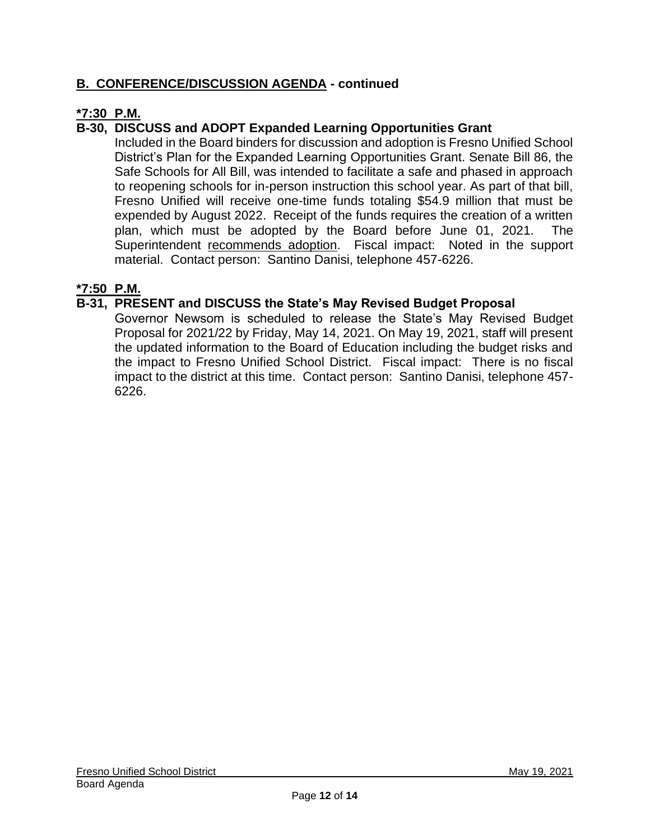## **B. CONFERENCE/DISCUSSION AGENDA - continued**

## **\*7:30 P.M.**

## **B-30, DISCUSS and ADOPT Expanded Learning Opportunities Grant**

Included in the Board binders for discussion and adoption is Fresno Unified School District's Plan for the Expanded Learning Opportunities Grant. Senate Bill 86, the Safe Schools for All Bill, was intended to facilitate a safe and phased in approach to reopening schools for in-person instruction this school year. As part of that bill, Fresno Unified will receive one-time funds totaling \$54.9 million that must be expended by August 2022. Receipt of the funds requires the creation of a written plan, which must be adopted by the Board before June 01, 2021. The Superintendent recommends adoption. Fiscal impact: Noted in the support material. Contact person: Santino Danisi, telephone 457-6226.

## **\*7:50 P.M.**

## **B-31, PRESENT and DISCUSS the State's May Revised Budget Proposal**

Governor Newsom is scheduled to release the State's May Revised Budget Proposal for 2021/22 by Friday, May 14, 2021. On May 19, 2021, staff will present the updated information to the Board of Education including the budget risks and the impact to Fresno Unified School District. Fiscal impact: There is no fiscal impact to the district at this time. Contact person: Santino Danisi, telephone 457- 6226.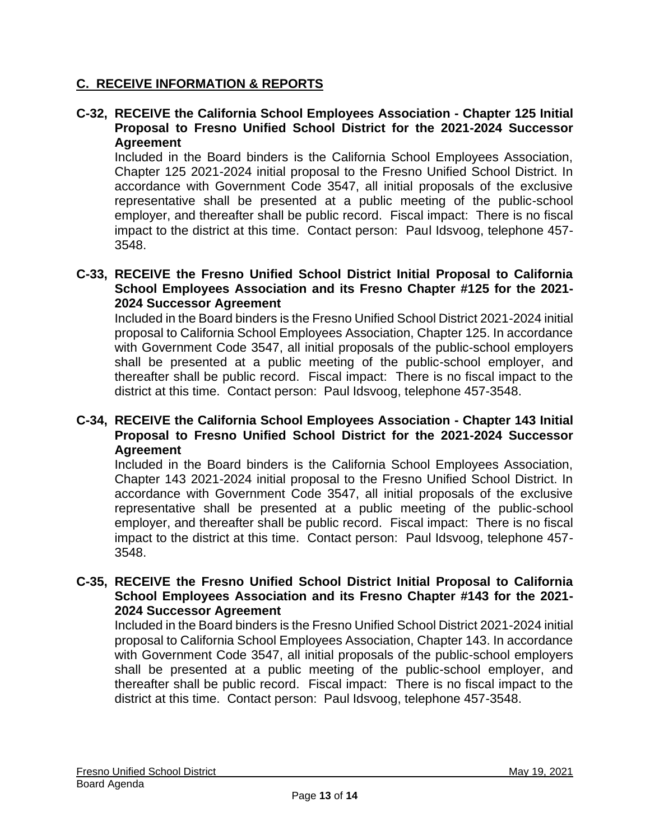## **C. RECEIVE INFORMATION & REPORTS**

### **C-32, RECEIVE the California School Employees Association - Chapter 125 Initial Proposal to Fresno Unified School District for the 2021-2024 Successor Agreement**

Included in the Board binders is the California School Employees Association, Chapter 125 2021-2024 initial proposal to the Fresno Unified School District. In accordance with Government Code 3547, all initial proposals of the exclusive representative shall be presented at a public meeting of the public-school employer, and thereafter shall be public record. Fiscal impact: There is no fiscal impact to the district at this time. Contact person: Paul Idsvoog, telephone 457- 3548.

## **C-33, RECEIVE the Fresno Unified School District Initial Proposal to California School Employees Association and its Fresno Chapter #125 for the 2021- 2024 Successor Agreement**

Included in the Board binders is the Fresno Unified School District 2021-2024 initial proposal to California School Employees Association, Chapter 125. In accordance with Government Code 3547, all initial proposals of the public-school employers shall be presented at a public meeting of the public-school employer, and thereafter shall be public record. Fiscal impact: There is no fiscal impact to the district at this time. Contact person: Paul Idsvoog, telephone 457-3548.

#### **C-34, RECEIVE the California School Employees Association - Chapter 143 Initial Proposal to Fresno Unified School District for the 2021-2024 Successor Agreement**

Included in the Board binders is the California School Employees Association, Chapter 143 2021-2024 initial proposal to the Fresno Unified School District. In accordance with Government Code 3547, all initial proposals of the exclusive representative shall be presented at a public meeting of the public-school employer, and thereafter shall be public record. Fiscal impact: There is no fiscal impact to the district at this time. Contact person: Paul Idsvoog, telephone 457- 3548.

#### **C-35, RECEIVE the Fresno Unified School District Initial Proposal to California School Employees Association and its Fresno Chapter #143 for the 2021- 2024 Successor Agreement**

Included in the Board binders is the Fresno Unified School District 2021-2024 initial proposal to California School Employees Association, Chapter 143. In accordance with Government Code 3547, all initial proposals of the public-school employers shall be presented at a public meeting of the public-school employer, and thereafter shall be public record. Fiscal impact: There is no fiscal impact to the district at this time. Contact person: Paul Idsvoog, telephone 457-3548.